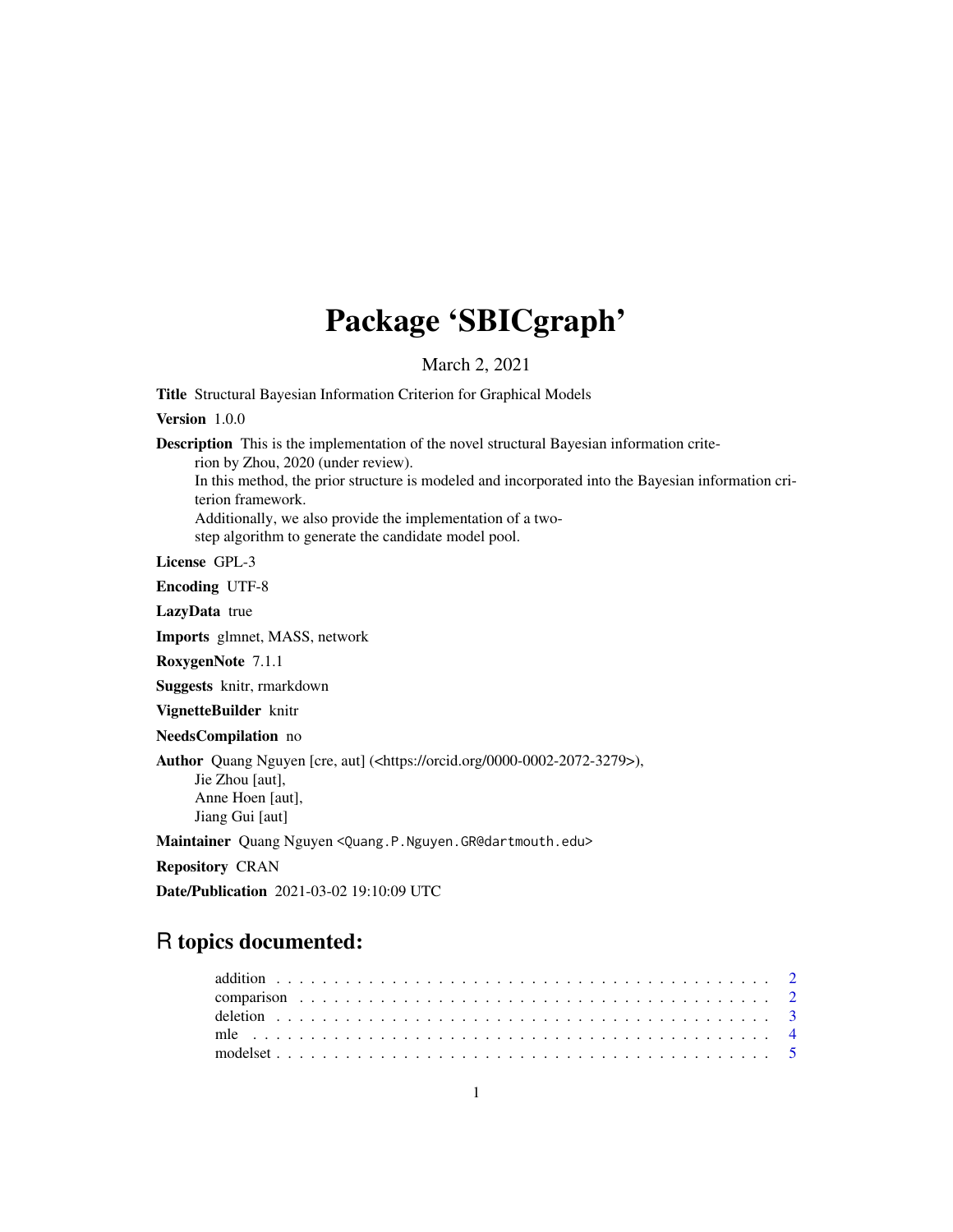# Package 'SBICgraph'

March 2, 2021

Title Structural Bayesian Information Criterion for Graphical Models

Version 1.0.0

Description This is the implementation of the novel structural Bayesian information crite-

rion by Zhou, 2020 (under review).

In this method, the prior structure is modeled and incorporated into the Bayesian information criterion framework.

Additionally, we also provide the implementation of a two-

step algorithm to generate the candidate model pool.

License GPL-3

Encoding UTF-8

LazyData true

Imports glmnet, MASS, network

RoxygenNote 7.1.1

Suggests knitr, rmarkdown

VignetteBuilder knitr

NeedsCompilation no

Author Quang Nguyen [cre, aut] (<https://orcid.org/0000-0002-2072-3279>), Jie Zhou [aut], Anne Hoen [aut], Jiang Gui [aut]

Maintainer Quang Nguyen <Quang.P.Nguyen.GR@dartmouth.edu>

Repository CRAN

Date/Publication 2021-03-02 19:10:09 UTC

# R topics documented: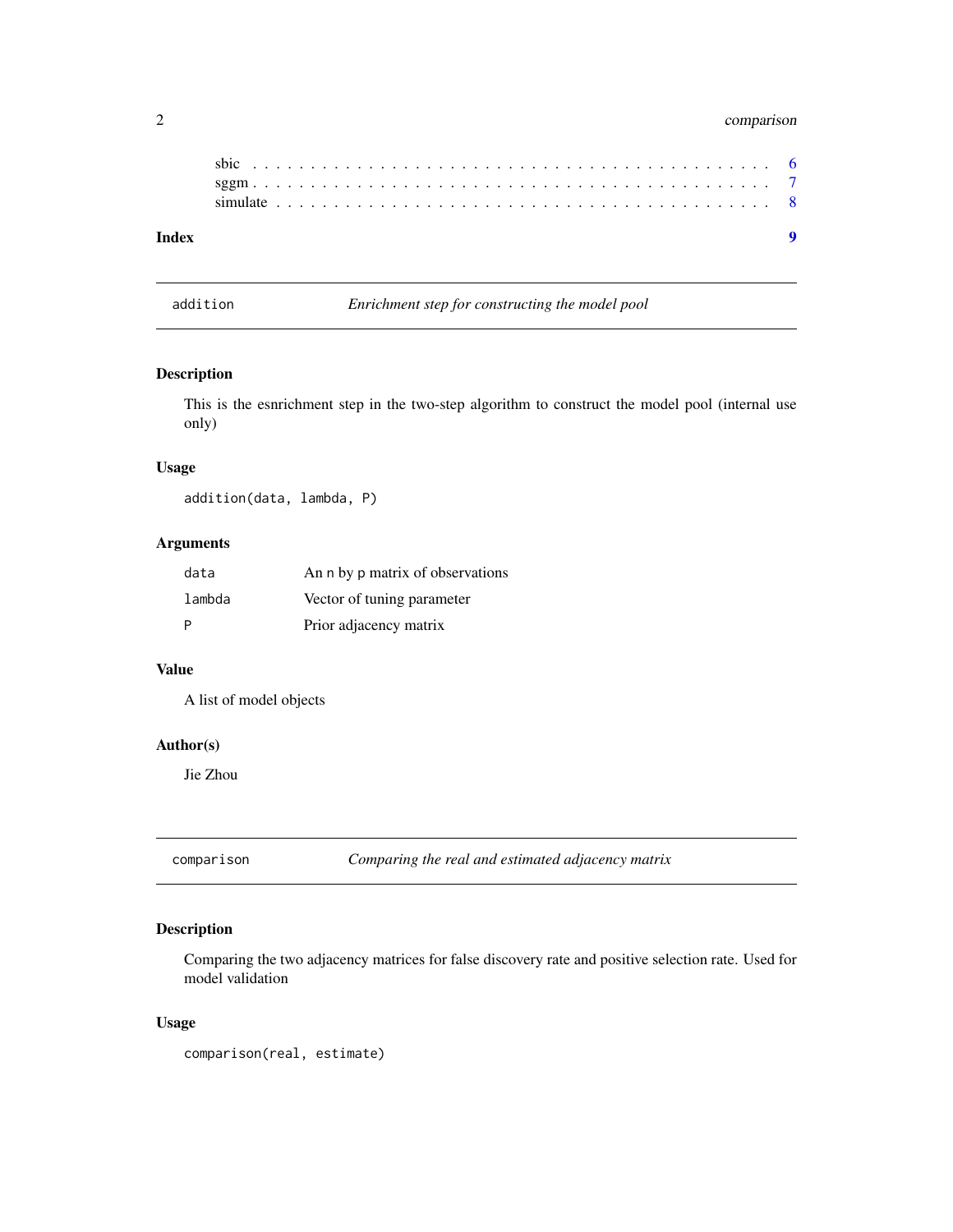# <span id="page-1-0"></span>2 comparison

| Index |  |  |  |  |  |  |  |  |  |  |  |  |  |  |  |  |  |  |  |  |  |  |  |
|-------|--|--|--|--|--|--|--|--|--|--|--|--|--|--|--|--|--|--|--|--|--|--|--|
|       |  |  |  |  |  |  |  |  |  |  |  |  |  |  |  |  |  |  |  |  |  |  |  |
|       |  |  |  |  |  |  |  |  |  |  |  |  |  |  |  |  |  |  |  |  |  |  |  |
|       |  |  |  |  |  |  |  |  |  |  |  |  |  |  |  |  |  |  |  |  |  |  |  |

addition *Enrichment step for constructing the model pool*

### Description

This is the esnrichment step in the two-step algorithm to construct the model pool (internal use only)

#### Usage

addition(data, lambda, P)

# Arguments

| data   | An n by p matrix of observations |
|--------|----------------------------------|
| lambda | Vector of tuning parameter       |
| P      | Prior adjacency matrix           |

#### Value

A list of model objects

## Author(s)

Jie Zhou

comparison *Comparing the real and estimated adjacency matrix*

### Description

Comparing the two adjacency matrices for false discovery rate and positive selection rate. Used for model validation

### Usage

comparison(real, estimate)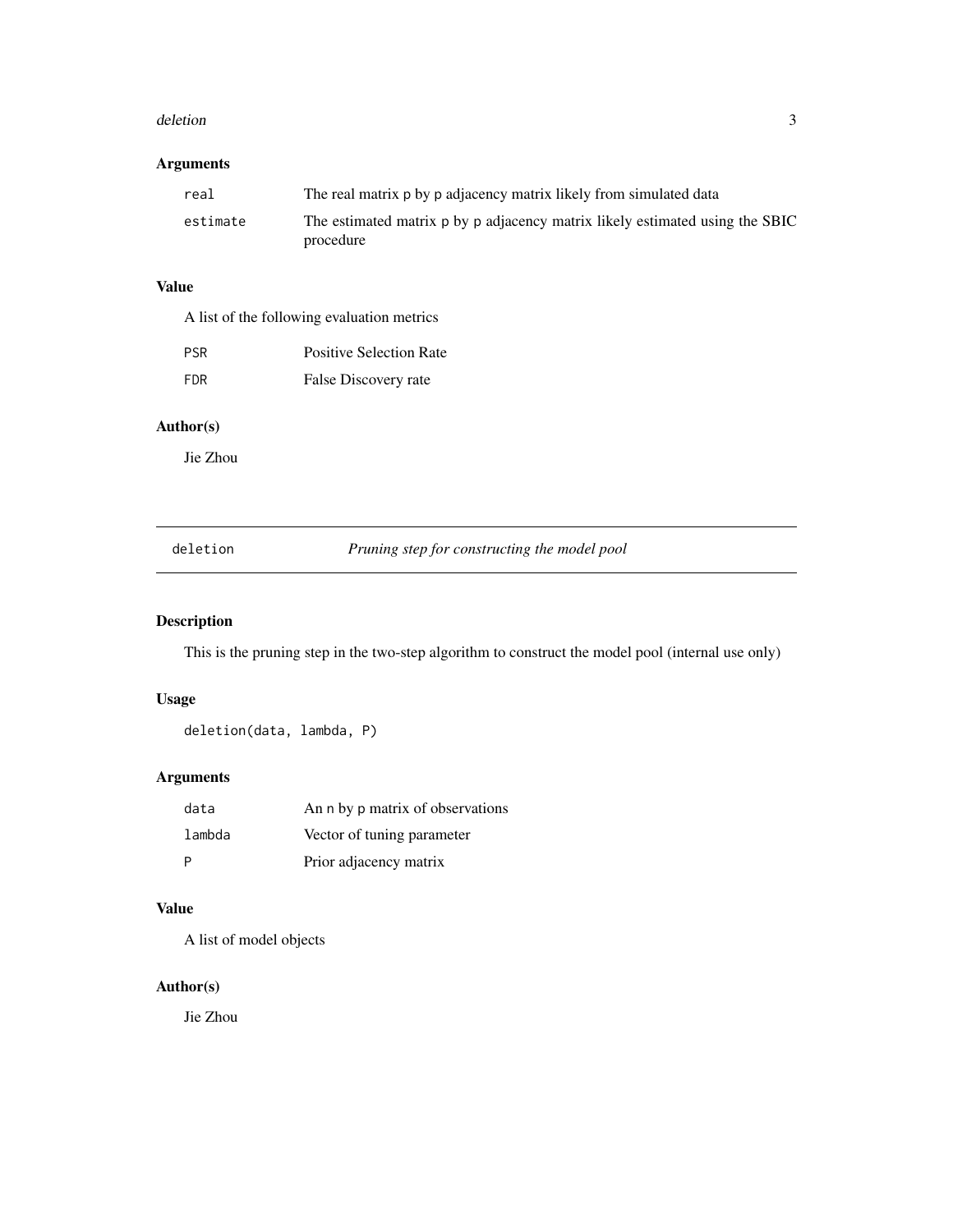#### <span id="page-2-0"></span>deletion 3

# Arguments

| real     | The real matrix p by p adjacency matrix likely from simulated data                        |
|----------|-------------------------------------------------------------------------------------------|
| estimate | The estimated matrix p by p adjacency matrix likely estimated using the SBIC<br>procedure |

# Value

A list of the following evaluation metrics

| <b>PSR</b> | <b>Positive Selection Rate</b> |
|------------|--------------------------------|
| FDR        | False Discovery rate           |

### Author(s)

Jie Zhou

deletion *Pruning step for constructing the model pool*

### Description

This is the pruning step in the two-step algorithm to construct the model pool (internal use only)

### Usage

deletion(data, lambda, P)

### Arguments

| data   | An n by p matrix of observations |
|--------|----------------------------------|
| lambda | Vector of tuning parameter       |
|        | Prior adjacency matrix           |

# Value

A list of model objects

# Author(s)

Jie Zhou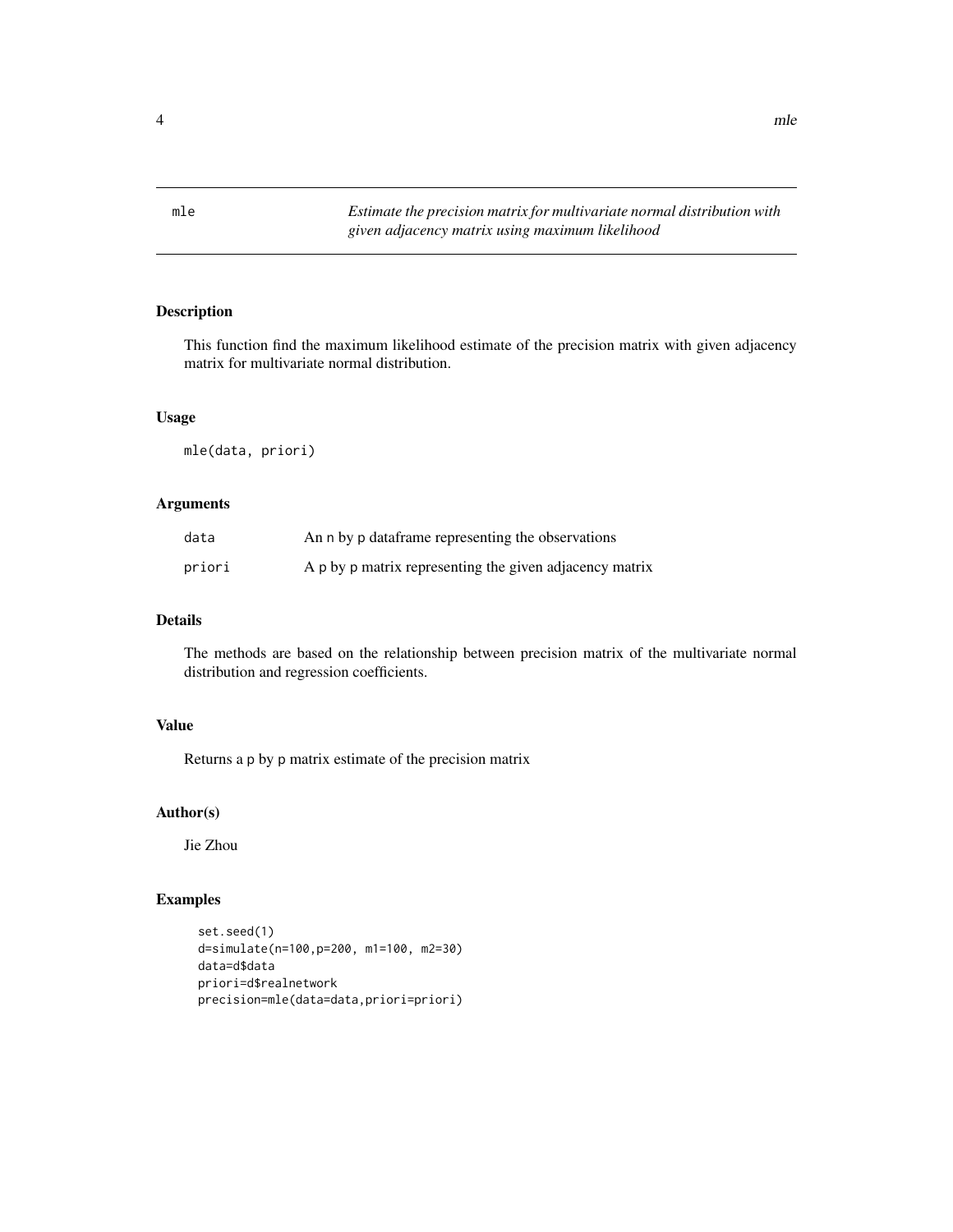<span id="page-3-0"></span>mle *Estimate the precision matrix for multivariate normal distribution with given adjacency matrix using maximum likelihood*

### Description

This function find the maximum likelihood estimate of the precision matrix with given adjacency matrix for multivariate normal distribution.

#### Usage

mle(data, priori)

### Arguments

| data   | An n by p dataframe representing the observations       |
|--------|---------------------------------------------------------|
| priori | A p by p matrix representing the given adjacency matrix |

#### Details

The methods are based on the relationship between precision matrix of the multivariate normal distribution and regression coefficients.

## Value

Returns a p by p matrix estimate of the precision matrix

#### Author(s)

Jie Zhou

```
set.seed(1)
d=simulate(n=100,p=200, m1=100, m2=30)
data=d$data
priori=d$realnetwork
precision=mle(data=data,priori=priori)
```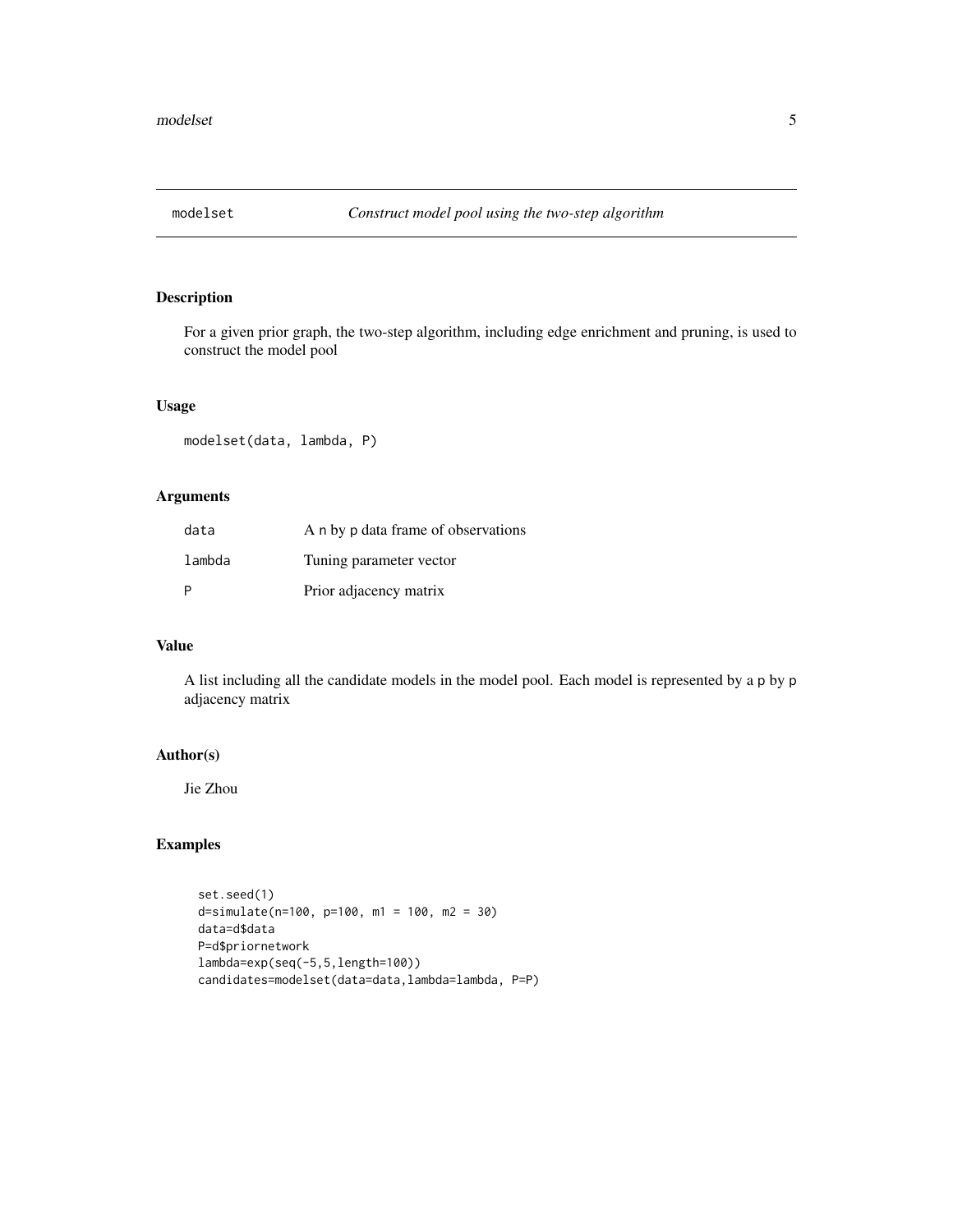<span id="page-4-0"></span>

### Description

For a given prior graph, the two-step algorithm, including edge enrichment and pruning, is used to construct the model pool

#### Usage

modelset(data, lambda, P)

# Arguments

| data   | A n by p data frame of observations |
|--------|-------------------------------------|
| lambda | Tuning parameter vector             |
| P      | Prior adjacency matrix              |

#### Value

A list including all the candidate models in the model pool. Each model is represented by a p by p adjacency matrix

#### Author(s)

Jie Zhou

```
set.seed(1)
d=simulate(n=100, p=100, m1 = 100, m2 = 30)
data=d$data
P=d$priornetwork
lambda=exp(seq(-5,5,length=100))
candidates=modelset(data=data,lambda=lambda, P=P)
```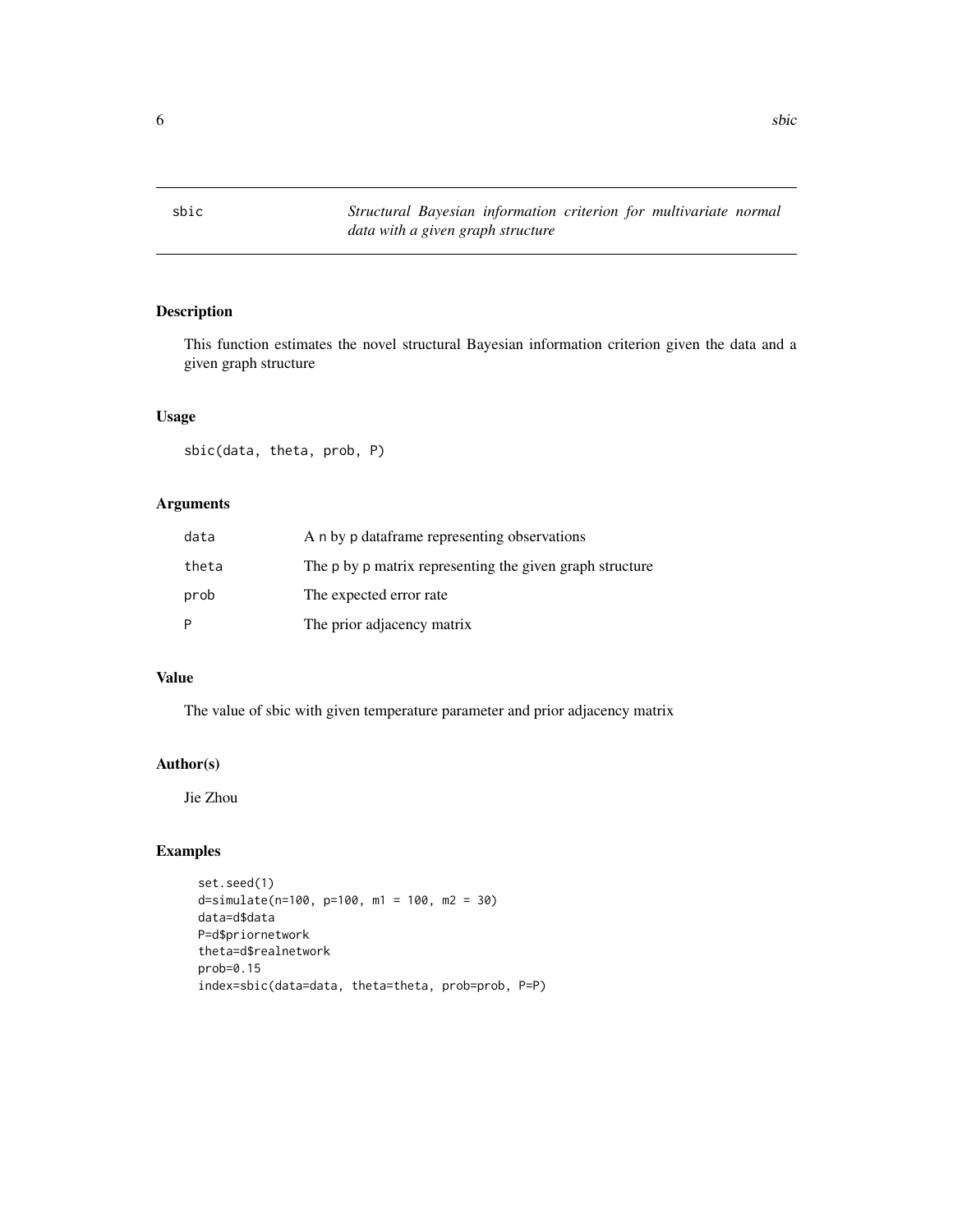<span id="page-5-0"></span>

#### Description

This function estimates the novel structural Bayesian information criterion given the data and a given graph structure

#### Usage

sbic(data, theta, prob, P)

## Arguments

| data  | A n by p dataframe representing observations             |
|-------|----------------------------------------------------------|
| theta | The p by p matrix representing the given graph structure |
| prob  | The expected error rate                                  |
| Þ     | The prior adjacency matrix                               |

#### Value

The value of sbic with given temperature parameter and prior adjacency matrix

## Author(s)

Jie Zhou

```
set.seed(1)
d=simulate(n=100, p=100, m1 = 100, m2 = 30)
data=d$data
P=d$priornetwork
theta=d$realnetwork
prob=0.15
index=sbic(data=data, theta=theta, prob=prob, P=P)
```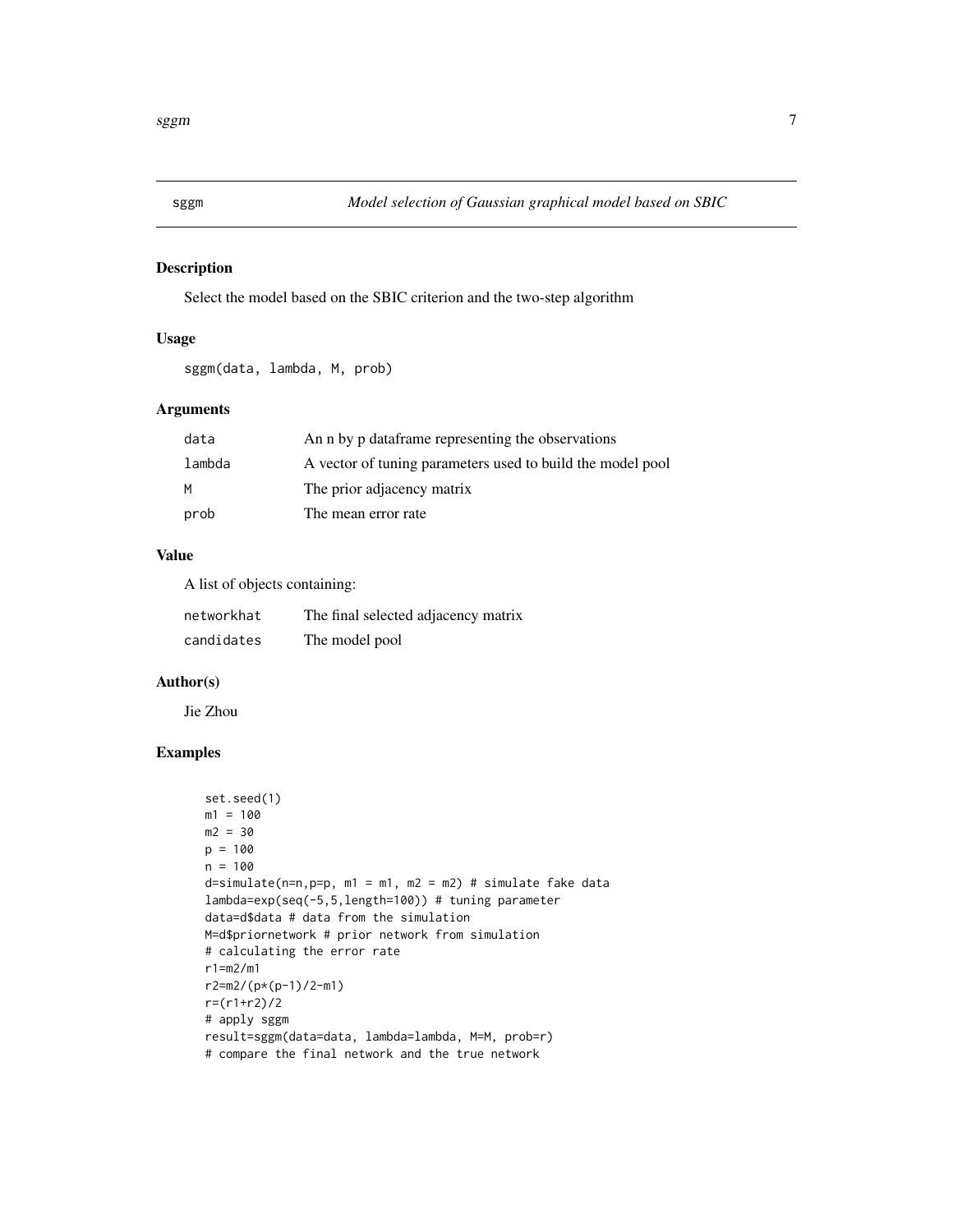<span id="page-6-0"></span>

### Description

Select the model based on the SBIC criterion and the two-step algorithm

#### Usage

sggm(data, lambda, M, prob)

## Arguments

| data   | An n by p dataframe representing the observations          |
|--------|------------------------------------------------------------|
| lambda | A vector of tuning parameters used to build the model pool |
| M      | The prior adjacency matrix                                 |
| prob   | The mean error rate                                        |

#### Value

A list of objects containing:

| networkhat | The final selected adjacency matrix |
|------------|-------------------------------------|
| candidates | The model pool                      |

#### Author(s)

Jie Zhou

```
set.seed(1)
m1 = 100m2 = 30p = 100n = 100d=simulate(n=n,p=p, m1 = m1, m2 = m2) # simulate fake datalambda=exp(seq(-5,5,length=100)) # tuning parameter
data=d$data # data from the simulation
M=d$priornetwork # prior network from simulation
# calculating the error rate
r1=m2/m1
r2=m2/(p*(p-1)/2-m1)
r=(r1+r2)/2
# apply sggm
result=sggm(data=data, lambda=lambda, M=M, prob=r)
# compare the final network and the true network
```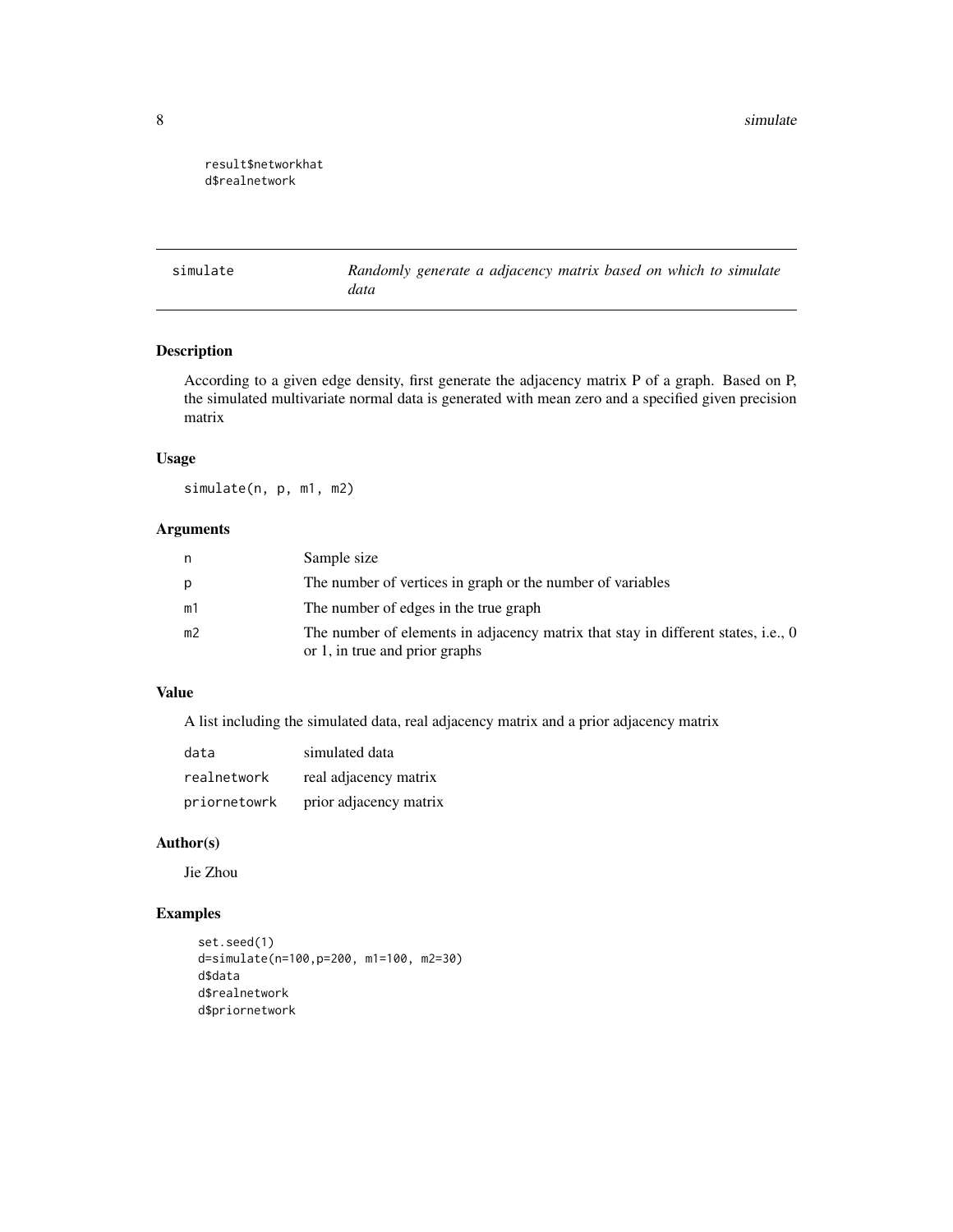<span id="page-7-0"></span>8 simulate that the state of the state of the state of the state of the state of the state of the state of the state of the state of the state of the state of the state of the state of the state of the state of the state o

### result\$networkhat d\$realnetwork

simulate *Randomly generate a adjacency matrix based on which to simulate data*

# Description

According to a given edge density, first generate the adjacency matrix P of a graph. Based on P, the simulated multivariate normal data is generated with mean zero and a specified given precision matrix

#### Usage

simulate(n, p, m1, m2)

### Arguments

| n  | Sample size                                                                                                         |
|----|---------------------------------------------------------------------------------------------------------------------|
| р  | The number of vertices in graph or the number of variables                                                          |
| m1 | The number of edges in the true graph                                                                               |
| m2 | The number of elements in adjacency matrix that stay in different states, i.e., 0<br>or 1, in true and prior graphs |

# Value

A list including the simulated data, real adjacency matrix and a prior adjacency matrix

| data         | simulated data         |
|--------------|------------------------|
| realnetwork  | real adjacency matrix  |
| priornetowrk | prior adjacency matrix |

#### Author(s)

Jie Zhou

```
set.seed(1)
d=simulate(n=100,p=200, m1=100, m2=30)
d$data
d$realnetwork
d$priornetwork
```